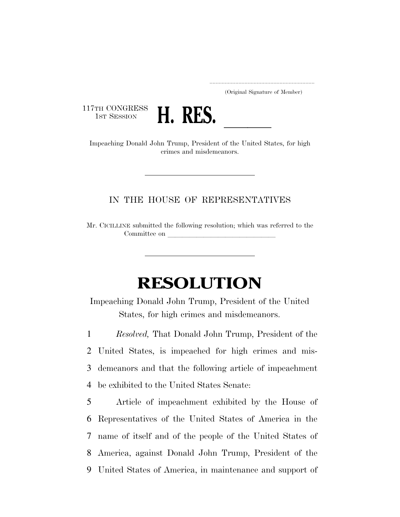..................................................................... (Original Signature of Member)

117TH CONGRESS<br>1st Session



THE CONGRESS **H. RES.**<br>Impeaching Donald John Trump, President of the United States, for high crimes and misdemeanors.

## IN THE HOUSE OF REPRESENTATIVES

Mr. CICILLINE submitted the following resolution; which was referred to the Committee on

## **RESOLUTION**

Impeaching Donald John Trump, President of the United States, for high crimes and misdemeanors.

 *Resolved,* That Donald John Trump, President of the United States, is impeached for high crimes and mis- demeanors and that the following article of impeachment be exhibited to the United States Senate:

 Article of impeachment exhibited by the House of Representatives of the United States of America in the name of itself and of the people of the United States of America, against Donald John Trump, President of the United States of America, in maintenance and support of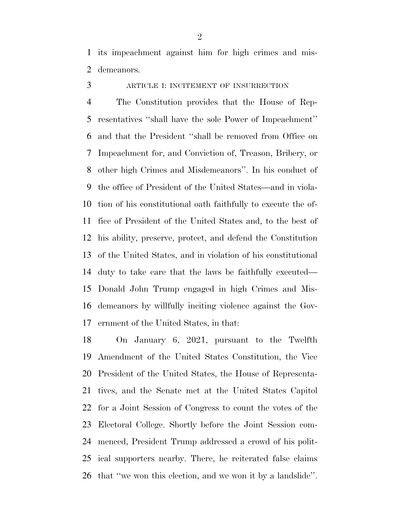its impeachment against him for high crimes and mis-demeanors.

ARTICLE I: INCITEMENT OF INSURRECTION

 The Constitution provides that the House of Rep- resentatives ''shall have the sole Power of Impeachment'' and that the President ''shall be removed from Office on Impeachment for, and Conviction of, Treason, Bribery, or other high Crimes and Misdemeanors''. In his conduct of the office of President of the United States—and in viola- tion of his constitutional oath faithfully to execute the of- fice of President of the United States and, to the best of his ability, preserve, protect, and defend the Constitution of the United States, and in violation of his constitutional duty to take care that the laws be faithfully executed— Donald John Trump engaged in high Crimes and Mis- demeanors by willfully inciting violence against the Gov-ernment of the United States, in that:

 On January 6, 2021, pursuant to the Twelfth Amendment of the United States Constitution, the Vice President of the United States, the House of Representa- tives, and the Senate met at the United States Capitol for a Joint Session of Congress to count the votes of the Electoral College. Shortly before the Joint Session com- menced, President Trump addressed a crowd of his polit- ical supporters nearby. There, he reiterated false claims that ''we won this election, and we won it by a landslide''.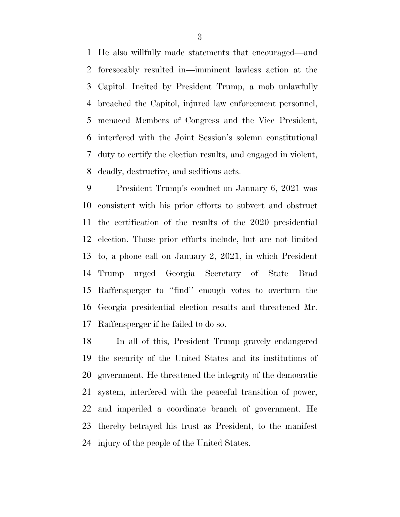He also willfully made statements that encouraged—and foreseeably resulted in—imminent lawless action at the Capitol. Incited by President Trump, a mob unlawfully breached the Capitol, injured law enforcement personnel, menaced Members of Congress and the Vice President, interfered with the Joint Session's solemn constitutional duty to certify the election results, and engaged in violent, deadly, destructive, and seditious acts.

 President Trump's conduct on January 6, 2021 was consistent with his prior efforts to subvert and obstruct the certification of the results of the 2020 presidential election. Those prior efforts include, but are not limited to, a phone call on January 2, 2021, in which President Trump urged Georgia Secretary of State Brad Raffensperger to ''find'' enough votes to overturn the Georgia presidential election results and threatened Mr. Raffensperger if he failed to do so.

 In all of this, President Trump gravely endangered the security of the United States and its institutions of government. He threatened the integrity of the democratic system, interfered with the peaceful transition of power, and imperiled a coordinate branch of government. He thereby betrayed his trust as President, to the manifest injury of the people of the United States.